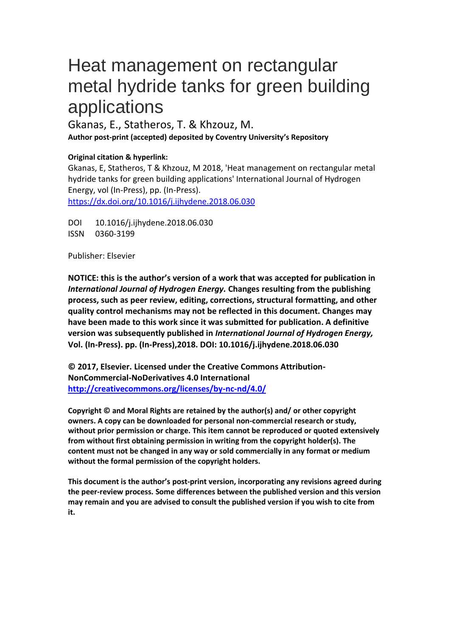# Heat management on rectangular metal hydride tanks for green building applications

Gkanas, E., Statheros, T. & Khzouz, M. **Author post-print (accepted) deposited by Coventry University's Repository**

## **Original citation & hyperlink:**

Gkanas, E, Statheros, T & Khzouz, M 2018, 'Heat management on rectangular metal hydride tanks for green building applications' International Journal of Hydrogen Energy, vol (In-Press), pp. (In-Press). https://dx.doi.org/10.1016/j.ijhydene.2018.06.030

DOI 10.1016/j.ijhydene.2018.06.030 ISSN 0360-3199

Publisher: Elsevier

**NOTICE: this is the author's version of a work that was accepted for publication in**  *International Journal of Hydrogen Energy.* **Changes resulting from the publishing process, such as peer review, editing, corrections, structural formatting, and other quality control mechanisms may not be reflected in this document. Changes may have been made to this work since it was submitted for publication. A definitive version was subsequently published in** *International Journal of Hydrogen Energy,* **Vol. (In-Press). pp. (In-Press),2018. DOI: 10.1016/j.ijhydene.2018.06.030**

**© 2017, Elsevier. Licensed under the Creative Commons Attribution-NonCommercial-NoDerivatives 4.0 International <http://creativecommons.org/licenses/by-nc-nd/4.0/>**

**Copyright © and Moral Rights are retained by the author(s) and/ or other copyright owners. A copy can be downloaded for personal non-commercial research or study, without prior permission or charge. This item cannot be reproduced or quoted extensively from without first obtaining permission in writing from the copyright holder(s). The content must not be changed in any way or sold commercially in any format or medium without the formal permission of the copyright holders.** 

**This document is the author's post-print version, incorporating any revisions agreed during the peer-review process. Some differences between the published version and this version may remain and you are advised to consult the published version if you wish to cite from it.**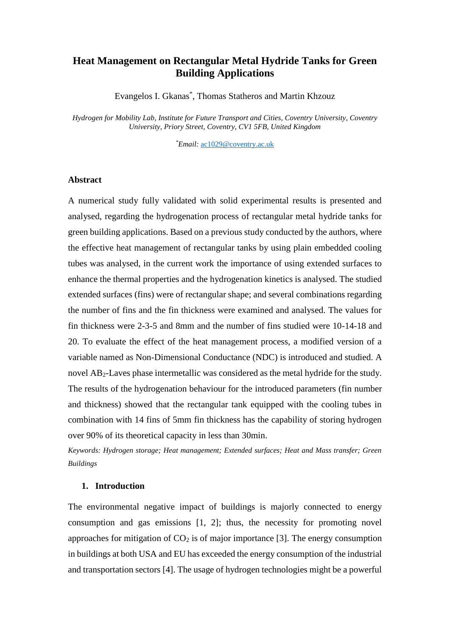# **Heat Management on Rectangular Metal Hydride Tanks for Green Building Applications**

Evangelos I. Gkanas\* , Thomas Statheros and Martin Khzouz

*Hydrogen for Mobility Lab, Institute for Future Transport and Cities, Coventry University, Coventry University, Priory Street, Coventry, CV1 5FB, United Kingdom*

*\*Email:* [ac1029@coventry.ac.uk](mailto:ac1029@coventry.ac.uk)

### **Abstract**

A numerical study fully validated with solid experimental results is presented and analysed, regarding the hydrogenation process of rectangular metal hydride tanks for green building applications. Based on a previous study conducted by the authors, where the effective heat management of rectangular tanks by using plain embedded cooling tubes was analysed, in the current work the importance of using extended surfaces to enhance the thermal properties and the hydrogenation kinetics is analysed. The studied extended surfaces (fins) were of rectangular shape; and several combinations regarding the number of fins and the fin thickness were examined and analysed. The values for fin thickness were 2-3-5 and 8mm and the number of fins studied were 10-14-18 and 20. To evaluate the effect of the heat management process, a modified version of a variable named as Non-Dimensional Conductance (NDC) is introduced and studied. A novel AB2-Laves phase intermetallic was considered as the metal hydride for the study. The results of the hydrogenation behaviour for the introduced parameters (fin number and thickness) showed that the rectangular tank equipped with the cooling tubes in combination with 14 fins of 5mm fin thickness has the capability of storing hydrogen over 90% of its theoretical capacity in less than 30min.

*Keywords: Hydrogen storage; Heat management; Extended surfaces; Heat and Mass transfer; Green Buildings*

#### **1. Introduction**

The environmental negative impact of buildings is majorly connected to energy consumption and gas emissions [1, 2]; thus, the necessity for promoting novel approaches for mitigation of  $CO<sub>2</sub>$  is of major importance [3]. The energy consumption in buildings at both USA and EU has exceeded the energy consumption of the industrial and transportation sectors [4]. The usage of hydrogen technologies might be a powerful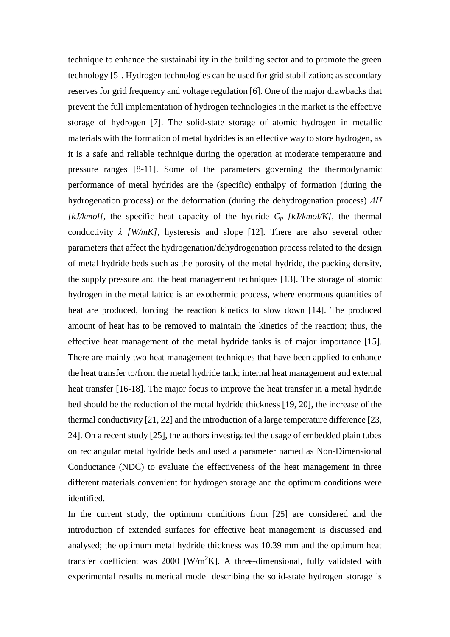technique to enhance the sustainability in the building sector and to promote the green technology [5]. Hydrogen technologies can be used for grid stabilization; as secondary reserves for grid frequency and voltage regulation [6]. One of the major drawbacks that prevent the full implementation of hydrogen technologies in the market is the effective storage of hydrogen [7]. The solid-state storage of atomic hydrogen in metallic materials with the formation of metal hydrides is an effective way to store hydrogen, as it is a safe and reliable technique during the operation at moderate temperature and pressure ranges [8-11]. Some of the parameters governing the thermodynamic performance of metal hydrides are the (specific) enthalpy of formation (during the hydrogenation process) or the deformation (during the dehydrogenation process) *ΔΗ [kJ/kmol],* the specific heat capacity of the hydride *C<sup>p</sup> [kJ/kmol/K]*, the thermal conductivity *λ [W/mK]*, hysteresis and slope [12]. There are also several other parameters that affect the hydrogenation/dehydrogenation process related to the design of metal hydride beds such as the porosity of the metal hydride, the packing density, the supply pressure and the heat management techniques [13]. The storage of atomic hydrogen in the metal lattice is an exothermic process, where enormous quantities of heat are produced, forcing the reaction kinetics to slow down [14]. The produced amount of heat has to be removed to maintain the kinetics of the reaction; thus, the effective heat management of the metal hydride tanks is of major importance [15]. There are mainly two heat management techniques that have been applied to enhance the heat transfer to/from the metal hydride tank; internal heat management and external heat transfer [16-18]. The major focus to improve the heat transfer in a metal hydride bed should be the reduction of the metal hydride thickness [19, 20], the increase of the thermal conductivity [21, 22] and the introduction of a large temperature difference [23, 24]. On a recent study [25], the authors investigated the usage of embedded plain tubes on rectangular metal hydride beds and used a parameter named as Non-Dimensional Conductance (NDC) to evaluate the effectiveness of the heat management in three different materials convenient for hydrogen storage and the optimum conditions were identified.

In the current study, the optimum conditions from [25] are considered and the introduction of extended surfaces for effective heat management is discussed and analysed; the optimum metal hydride thickness was 10.39 mm and the optimum heat transfer coefficient was 2000  $[W/m^2K]$ . A three-dimensional, fully validated with experimental results numerical model describing the solid-state hydrogen storage is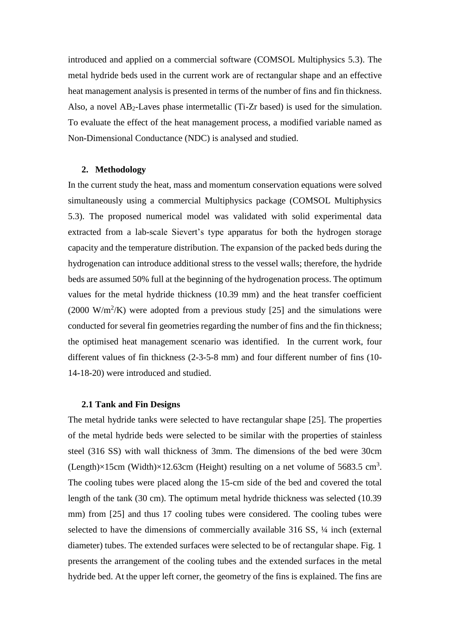introduced and applied on a commercial software (COMSOL Multiphysics 5.3). The metal hydride beds used in the current work are of rectangular shape and an effective heat management analysis is presented in terms of the number of fins and fin thickness. Also, a novel AB2-Laves phase intermetallic (Ti-Zr based) is used for the simulation. To evaluate the effect of the heat management process, a modified variable named as Non-Dimensional Conductance (NDC) is analysed and studied.

#### **2. Methodology**

In the current study the heat, mass and momentum conservation equations were solved simultaneously using a commercial Multiphysics package (COMSOL Multiphysics 5.3). The proposed numerical model was validated with solid experimental data extracted from a lab-scale Sievert's type apparatus for both the hydrogen storage capacity and the temperature distribution. The expansion of the packed beds during the hydrogenation can introduce additional stress to the vessel walls; therefore, the hydride beds are assumed 50% full at the beginning of the hydrogenation process. The optimum values for the metal hydride thickness (10.39 mm) and the heat transfer coefficient  $(2000 \text{ W/m}^2/\text{K})$  were adopted from a previous study [25] and the simulations were conducted for several fin geometries regarding the number of fins and the fin thickness; the optimised heat management scenario was identified. In the current work, four different values of fin thickness (2-3-5-8 mm) and four different number of fins (10- 14-18-20) were introduced and studied.

#### **2.1 Tank and Fin Designs**

The metal hydride tanks were selected to have rectangular shape [25]. The properties of the metal hydride beds were selected to be similar with the properties of stainless steel (316 SS) with wall thickness of 3mm. The dimensions of the bed were 30cm (Length) $\times$ 15cm (Width) $\times$ 12.63cm (Height) resulting on a net volume of 5683.5 cm<sup>3</sup>. The cooling tubes were placed along the 15-cm side of the bed and covered the total length of the tank (30 cm). The optimum metal hydride thickness was selected (10.39 mm) from [25] and thus 17 cooling tubes were considered. The cooling tubes were selected to have the dimensions of commercially available 316 SS, ¼ inch (external diameter) tubes. The extended surfaces were selected to be of rectangular shape. Fig. 1 presents the arrangement of the cooling tubes and the extended surfaces in the metal hydride bed. At the upper left corner, the geometry of the fins is explained. The fins are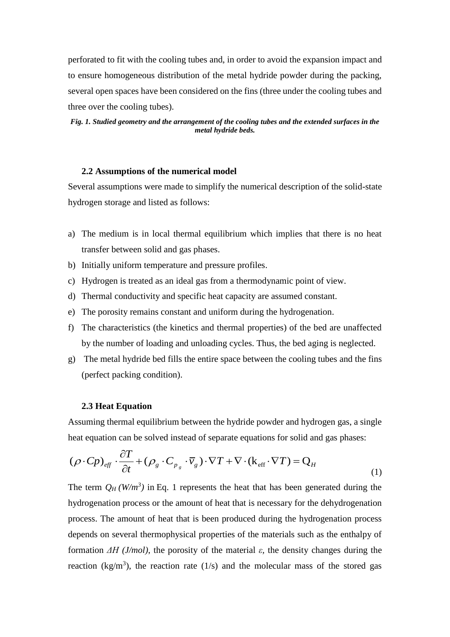perforated to fit with the cooling tubes and, in order to avoid the expansion impact and to ensure homogeneous distribution of the metal hydride powder during the packing, several open spaces have been considered on the fins (three under the cooling tubes and three over the cooling tubes).

#### *Fig. 1. Studied geometry and the arrangement of the cooling tubes and the extended surfaces in the metal hydride beds.*

#### **2.2 Assumptions of the numerical model**

Several assumptions were made to simplify the numerical description of the solid-state hydrogen storage and listed as follows:

- a) The medium is in local thermal equilibrium which implies that there is no heat transfer between solid and gas phases.
- b) Initially uniform temperature and pressure profiles.
- c) Hydrogen is treated as an ideal gas from a thermodynamic point of view.
- d) Thermal conductivity and specific heat capacity are assumed constant.
- e) The porosity remains constant and uniform during the hydrogenation.
- f) The characteristics (the kinetics and thermal properties) of the bed are unaffected by the number of loading and unloading cycles. Thus, the bed aging is neglected.
- g) The metal hydride bed fills the entire space between the cooling tubes and the fins (perfect packing condition).

#### **2.3 Heat Equation**

Assuming thermal equilibrium between the hydride powder and hydrogen gas, a single

heat equation can be solved instead of separate equations for solid and gas phases:  
\n
$$
(\rho \cdot Cp)_{\text{eff}} \cdot \frac{\partial T}{\partial t} + (\rho_g \cdot C_{p_g} \cdot \overline{v}_g) \cdot \nabla T + \nabla \cdot (\mathbf{k}_{\text{eff}} \cdot \nabla T) = \mathbf{Q}_H
$$
\n(1)

The term  $Q_H (W/m^3)$  in Eq. 1 represents the heat that has been generated during the hydrogenation process or the amount of heat that is necessary for the dehydrogenation process. The amount of heat that is been produced during the hydrogenation process depends on several thermophysical properties of the materials such as the enthalpy of formation *ΔΗ (J/mol)*, the porosity of the material *ε,* the density changes during the reaction (kg/m<sup>3</sup>), the reaction rate (1/s) and the molecular mass of the stored gas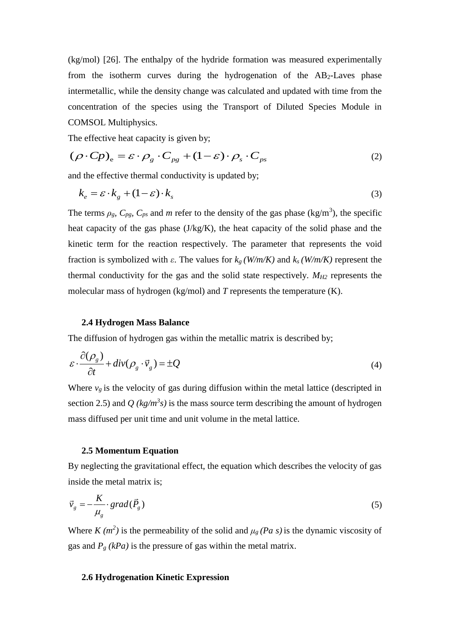(kg/mol) [26]. The enthalpy of the hydride formation was measured experimentally from the isotherm curves during the hydrogenation of the  $AB_2$ -Laves phase intermetallic, while the density change was calculated and updated with time from the concentration of the species using the Transport of Diluted Species Module in COMSOL Multiphysics.

The effective heat capacity is given by;  
\n
$$
(\rho \cdot Cp)_e = \varepsilon \cdot \rho_g \cdot C_{pg} + (1 - \varepsilon) \cdot \rho_s \cdot C_{ps}
$$
\n(2)

and the effective thermal conductivity is updated by;

$$
k_e = \varepsilon \cdot k_g + (1 - \varepsilon) \cdot k_s \tag{3}
$$

The terms  $\rho_g$ ,  $C_{pg}$ ,  $C_{ps}$  and *m* refer to the density of the gas phase (kg/m<sup>3</sup>), the specific heat capacity of the gas phase (J/kg/K), the heat capacity of the solid phase and the kinetic term for the reaction respectively. The parameter that represents the void fraction is symbolized with *ε*. The values for *k<sup>g</sup> (W/m/K)* and *k<sup>s</sup> (W/m/K)* represent the thermal conductivity for the gas and the solid state respectively. *MH2* represents the molecular mass of hydrogen (kg/mol) and *T* represents the temperature (K).

#### **2.4 Hydrogen Mass Balance**

The diffusion of hydrogen gas within the metallic matrix is described by;

$$
\varepsilon \cdot \frac{\partial(\rho_g)}{\partial t} + \operatorname{div}(\rho_g \cdot \vec{v}_g) = \pm Q \tag{4}
$$

Where  $v<sub>g</sub>$  is the velocity of gas during diffusion within the metal lattice (descripted in section 2.5) and  $Q$  ( $kg/m<sup>3</sup>s$ ) is the mass source term describing the amount of hydrogen mass diffused per unit time and unit volume in the metal lattice.

#### **2.5 Momentum Equation**

By neglecting the gravitational effect, the equation which describes the velocity of gas inside the metal matrix is;

$$
\vec{v}_g = -\frac{K}{\mu_g} \cdot grad(\vec{P}_g)
$$
\n(5)

Where  $K(m^2)$  is the permeability of the solid and  $\mu_g$  (Pa s) is the dynamic viscosity of gas and  $P_g$  (kPa) is the pressure of gas within the metal matrix.

#### **2.6 Hydrogenation Kinetic Expression**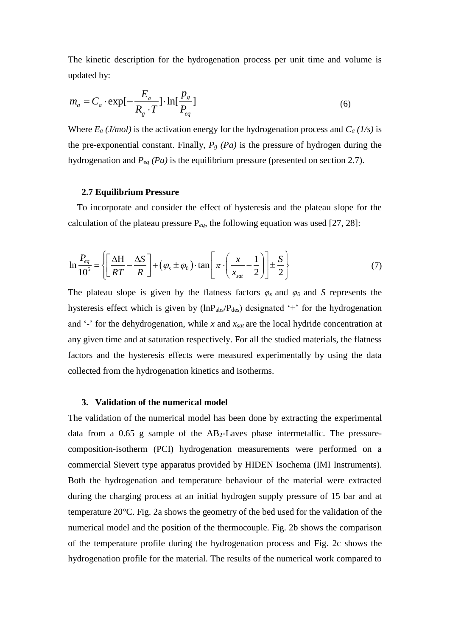The kinetic description for the hydrogenation process per unit time and volume is updated by:

$$
m_a = C_a \cdot \exp[-\frac{E_a}{R_g \cdot T}] \cdot \ln[\frac{p_g}{P_{eq}}]
$$
 (6)

Where  $E_a$  (*J/mol*) is the activation energy for the hydrogenation process and  $C_a$  (*1/s*) is the pre-exponential constant. Finally,  $P_g$   $(Pa)$  is the pressure of hydrogen during the hydrogenation and *Peq (Pa)* is the equilibrium pressure (presented on section 2.7).

#### **2.7 Equilibrium Pressure**

To incorporate and consider the effect of hysteresis and the plateau slope for the calculation of the plateau pressure  $P_{eq}$ , the following equation was used [27, 28]:

$$
\ln \frac{P_{eq}}{10^5} = \left\{ \left[ \frac{\Delta H}{RT} - \frac{\Delta S}{R} \right] + (\varphi_s \pm \varphi_0) \cdot \tan \left[ \pi \cdot \left( \frac{x}{x_{sat}} - \frac{1}{2} \right) \right] \pm \frac{S}{2} \right\}
$$
(7)

The plateau slope is given by the flatness factors  $\varphi_s$  and  $\varphi_0$  and *S* represents the hysteresis effect which is given by  $(lnP_{abs}/P_{des})$  designated '+' for the hydrogenation and '-' for the dehydrogenation, while *x* and *xsat* are the local hydride concentration at any given time and at saturation respectively. For all the studied materials, the flatness factors and the hysteresis effects were measured experimentally by using the data collected from the hydrogenation kinetics and isotherms.

#### **3. Validation of the numerical model**

The validation of the numerical model has been done by extracting the experimental data from a 0.65 g sample of the AB2-Laves phase intermetallic. The pressurecomposition-isotherm (PCI) hydrogenation measurements were performed on a commercial Sievert type apparatus provided by HIDEN Isochema (IMI Instruments). Both the hydrogenation and temperature behaviour of the material were extracted during the charging process at an initial hydrogen supply pressure of 15 bar and at temperature 20°C. Fig. 2a shows the geometry of the bed used for the validation of the numerical model and the position of the thermocouple. Fig. 2b shows the comparison of the temperature profile during the hydrogenation process and Fig. 2c shows the hydrogenation profile for the material. The results of the numerical work compared to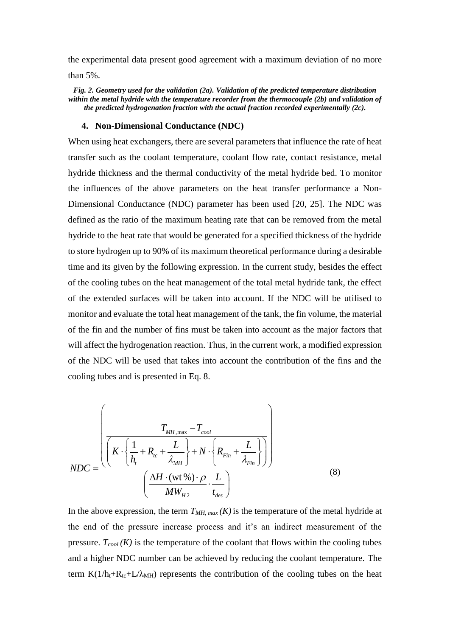the experimental data present good agreement with a maximum deviation of no more than 5%.

*Fig. 2. Geometry used for the validation (2a). Validation of the predicted temperature distribution within the metal hydride with the temperature recorder from the thermocouple (2b) and validation of the predicted hydrogenation fraction with the actual fraction recorded experimentally (2c).*

#### **4. Non-Dimensional Conductance (NDC)**

When using heat exchangers, there are several parameters that influence the rate of heat transfer such as the coolant temperature, coolant flow rate, contact resistance, metal hydride thickness and the thermal conductivity of the metal hydride bed. To monitor the influences of the above parameters on the heat transfer performance a Non-Dimensional Conductance (NDC) parameter has been used [20, 25]. The NDC was defined as the ratio of the maximum heating rate that can be removed from the metal hydride to the heat rate that would be generated for a specified thickness of the hydride to store hydrogen up to 90% of its maximum theoretical performance during a desirable time and its given by the following expression. In the current study, besides the effect of the cooling tubes on the heat management of the total metal hydride tank, the effect of the extended surfaces will be taken into account. If the NDC will be utilised to monitor and evaluate the total heat management of the tank, the fin volume, the material of the fin and the number of fins must be taken into account as the major factors that will affect the hydrogenation reaction. Thus, in the current work, a modified expression of the NDC will be used that takes into account the contribution of the fins and the cooling tubes and is presented in Eq. 8.

$$
NDC = \frac{\left(\left(K \cdot \left\{\frac{1}{h_t} + R_{tc} + \frac{L}{\lambda_{MH}}\right\} + N \cdot \left\{R_{Fin} + \frac{L}{\lambda_{Fin}}\right\}\right)\right)}{\left(\frac{\Delta H \cdot (wt\%) \cdot \rho}{MW_{H2} \cdot L}\cdot \frac{L}{t_{des}}\right)}
$$
(8)

In the above expression, the term  $T_{MH, max}(K)$  is the temperature of the metal hydride at the end of the pressure increase process and it's an indirect measurement of the pressure.  $T_{cool}$  (K) is the temperature of the coolant that flows within the cooling tubes and a higher NDC number can be achieved by reducing the coolant temperature. The term  $K(1/h_t+R_{tc}+L/\lambda_{MH})$  represents the contribution of the cooling tubes on the heat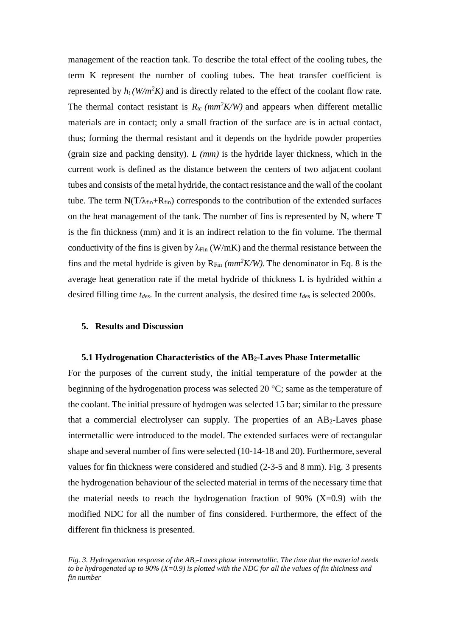management of the reaction tank. To describe the total effect of the cooling tubes, the term K represent the number of cooling tubes. The heat transfer coefficient is represented by  $h_t$  (W/m<sup>2</sup>K) and is directly related to the effect of the coolant flow rate. The thermal contact resistant is  $R_{tc}$  ( $mm^2 K/W$ ) and appears when different metallic materials are in contact; only a small fraction of the surface are is in actual contact, thus; forming the thermal resistant and it depends on the hydride powder properties (grain size and packing density). *L (mm)* is the hydride layer thickness, which in the current work is defined as the distance between the centers of two adjacent coolant tubes and consists of the metal hydride, the contact resistance and the wall of the coolant tube. The term  $N(T/\lambda_{fin}+R_{fin})$  corresponds to the contribution of the extended surfaces on the heat management of the tank. The number of fins is represented by N, where T is the fin thickness (mm) and it is an indirect relation to the fin volume. The thermal conductivity of the fins is given by  $\lambda_{\text{Fin}}$  (W/mK) and the thermal resistance between the fins and the metal hydride is given by  $R_{Fin}$  *(mm<sup>2</sup>K/W)*. The denominator in Eq. 8 is the average heat generation rate if the metal hydride of thickness L is hydrided within a desired filling time *tdes*. In the current analysis, the desired time *tdes* is selected 2000s.

#### **5. Results and Discussion**

#### **5.1 Hydrogenation Characteristics of the AB2-Laves Phase Intermetallic**

For the purposes of the current study, the initial temperature of the powder at the beginning of the hydrogenation process was selected 20 °C; same as the temperature of the coolant. The initial pressure of hydrogen was selected 15 bar; similar to the pressure that a commercial electrolyser can supply. The properties of an  $AB_2$ -Laves phase intermetallic were introduced to the model. The extended surfaces were of rectangular shape and several number of fins were selected (10-14-18 and 20). Furthermore, several values for fin thickness were considered and studied (2-3-5 and 8 mm). Fig. 3 presents the hydrogenation behaviour of the selected material in terms of the necessary time that the material needs to reach the hydrogenation fraction of  $90\%$  (X=0.9) with the modified NDC for all the number of fins considered. Furthermore, the effect of the different fin thickness is presented.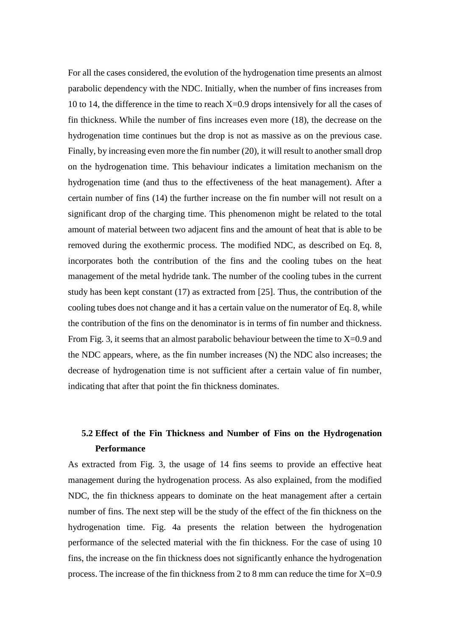For all the cases considered, the evolution of the hydrogenation time presents an almost parabolic dependency with the NDC. Initially, when the number of fins increases from 10 to 14, the difference in the time to reach  $X=0.9$  drops intensively for all the cases of fin thickness. While the number of fins increases even more (18), the decrease on the hydrogenation time continues but the drop is not as massive as on the previous case. Finally, by increasing even more the fin number (20), it will result to another small drop on the hydrogenation time. This behaviour indicates a limitation mechanism on the hydrogenation time (and thus to the effectiveness of the heat management). After a certain number of fins (14) the further increase on the fin number will not result on a significant drop of the charging time. This phenomenon might be related to the total amount of material between two adjacent fins and the amount of heat that is able to be removed during the exothermic process. The modified NDC, as described on Eq. 8, incorporates both the contribution of the fins and the cooling tubes on the heat management of the metal hydride tank. The number of the cooling tubes in the current study has been kept constant (17) as extracted from [25]. Thus, the contribution of the cooling tubes does not change and it has a certain value on the numerator of Eq. 8, while the contribution of the fins on the denominator is in terms of fin number and thickness. From Fig. 3, it seems that an almost parabolic behaviour between the time to  $X=0.9$  and the NDC appears, where, as the fin number increases (N) the NDC also increases; the decrease of hydrogenation time is not sufficient after a certain value of fin number, indicating that after that point the fin thickness dominates.

# **5.2 Effect of the Fin Thickness and Number of Fins on the Hydrogenation Performance**

As extracted from Fig. 3, the usage of 14 fins seems to provide an effective heat management during the hydrogenation process. As also explained, from the modified NDC, the fin thickness appears to dominate on the heat management after a certain number of fins. The next step will be the study of the effect of the fin thickness on the hydrogenation time. Fig. 4a presents the relation between the hydrogenation performance of the selected material with the fin thickness. For the case of using 10 fins, the increase on the fin thickness does not significantly enhance the hydrogenation process. The increase of the fin thickness from 2 to 8 mm can reduce the time for X=0.9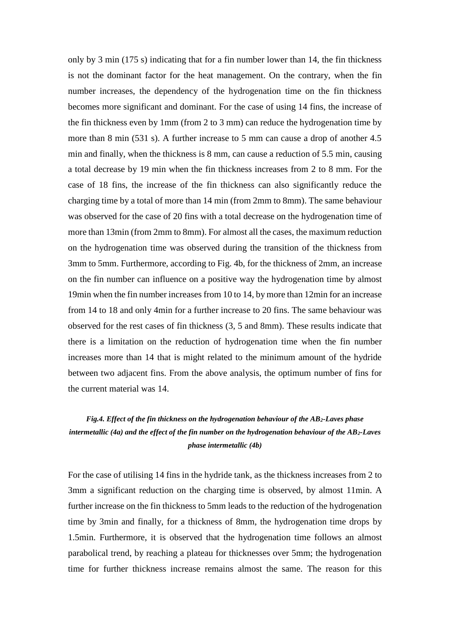only by 3 min (175 s) indicating that for a fin number lower than 14, the fin thickness is not the dominant factor for the heat management. On the contrary, when the fin number increases, the dependency of the hydrogenation time on the fin thickness becomes more significant and dominant. For the case of using 14 fins, the increase of the fin thickness even by 1mm (from 2 to 3 mm) can reduce the hydrogenation time by more than 8 min (531 s). A further increase to 5 mm can cause a drop of another 4.5 min and finally, when the thickness is 8 mm, can cause a reduction of 5.5 min, causing a total decrease by 19 min when the fin thickness increases from 2 to 8 mm. For the case of 18 fins, the increase of the fin thickness can also significantly reduce the charging time by a total of more than 14 min (from 2mm to 8mm). The same behaviour was observed for the case of 20 fins with a total decrease on the hydrogenation time of more than 13min (from 2mm to 8mm). For almost all the cases, the maximum reduction on the hydrogenation time was observed during the transition of the thickness from 3mm to 5mm. Furthermore, according to Fig. 4b, for the thickness of 2mm, an increase on the fin number can influence on a positive way the hydrogenation time by almost 19min when the fin number increases from 10 to 14, by more than 12min for an increase from 14 to 18 and only 4min for a further increase to 20 fins. The same behaviour was observed for the rest cases of fin thickness (3, 5 and 8mm). These results indicate that there is a limitation on the reduction of hydrogenation time when the fin number increases more than 14 that is might related to the minimum amount of the hydride between two adjacent fins. From the above analysis, the optimum number of fins for the current material was 14.

# *Fig.4. Effect of the fin thickness on the hydrogenation behaviour of the AB2-Laves phase intermetallic (4a) and the effect of the fin number on the hydrogenation behaviour of the AB2-Laves phase intermetallic (4b)*

For the case of utilising 14 fins in the hydride tank, as the thickness increases from 2 to 3mm a significant reduction on the charging time is observed, by almost 11min. A further increase on the fin thickness to 5mm leads to the reduction of the hydrogenation time by 3min and finally, for a thickness of 8mm, the hydrogenation time drops by 1.5min. Furthermore, it is observed that the hydrogenation time follows an almost parabolical trend, by reaching a plateau for thicknesses over 5mm; the hydrogenation time for further thickness increase remains almost the same. The reason for this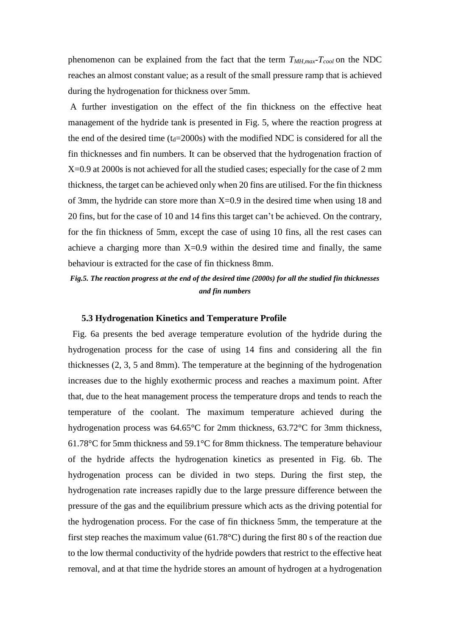phenomenon can be explained from the fact that the term *TMH,max-Tcool* on the NDC reaches an almost constant value; as a result of the small pressure ramp that is achieved during the hydrogenation for thickness over 5mm.

A further investigation on the effect of the fin thickness on the effective heat management of the hydride tank is presented in Fig. 5, where the reaction progress at the end of the desired time ( $t_d$ =2000s) with the modified NDC is considered for all the fin thicknesses and fin numbers. It can be observed that the hydrogenation fraction of X=0.9 at 2000s is not achieved for all the studied cases; especially for the case of 2 mm thickness, the target can be achieved only when 20 fins are utilised. For the fin thickness of 3mm, the hydride can store more than  $X=0.9$  in the desired time when using 18 and 20 fins, but for the case of 10 and 14 fins this target can't be achieved. On the contrary, for the fin thickness of 5mm, except the case of using 10 fins, all the rest cases can achieve a charging more than  $X=0.9$  within the desired time and finally, the same behaviour is extracted for the case of fin thickness 8mm.

# *Fig.5. The reaction progress at the end of the desired time (2000s) for all the studied fin thicknesses and fin numbers*

#### **5.3 Hydrogenation Kinetics and Temperature Profile**

 Fig. 6a presents the bed average temperature evolution of the hydride during the hydrogenation process for the case of using 14 fins and considering all the fin thicknesses (2, 3, 5 and 8mm). The temperature at the beginning of the hydrogenation increases due to the highly exothermic process and reaches a maximum point. After that, due to the heat management process the temperature drops and tends to reach the temperature of the coolant. The maximum temperature achieved during the hydrogenation process was 64.65°C for 2mm thickness, 63.72°C for 3mm thickness, 61.78°C for 5mm thickness and 59.1°C for 8mm thickness. The temperature behaviour of the hydride affects the hydrogenation kinetics as presented in Fig. 6b. The hydrogenation process can be divided in two steps. During the first step, the hydrogenation rate increases rapidly due to the large pressure difference between the pressure of the gas and the equilibrium pressure which acts as the driving potential for the hydrogenation process. For the case of fin thickness 5mm, the temperature at the first step reaches the maximum value (61.78°C) during the first 80 s of the reaction due to the low thermal conductivity of the hydride powders that restrict to the effective heat removal, and at that time the hydride stores an amount of hydrogen at a hydrogenation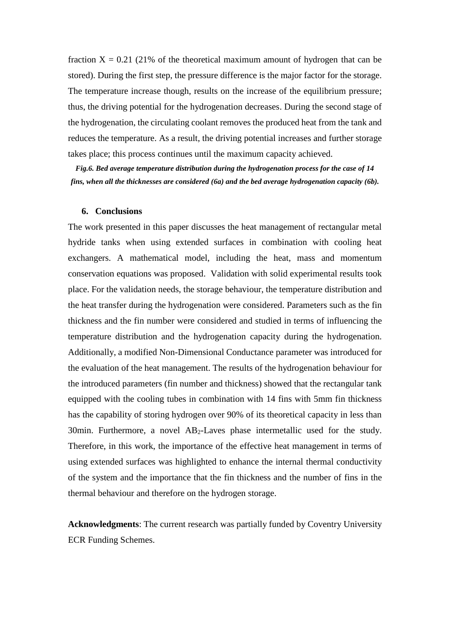fraction  $X = 0.21$  (21% of the theoretical maximum amount of hydrogen that can be stored). During the first step, the pressure difference is the major factor for the storage. The temperature increase though, results on the increase of the equilibrium pressure; thus, the driving potential for the hydrogenation decreases. During the second stage of the hydrogenation, the circulating coolant removes the produced heat from the tank and reduces the temperature. As a result, the driving potential increases and further storage takes place; this process continues until the maximum capacity achieved.

*Fig.6. Bed average temperature distribution during the hydrogenation process for the case of 14 fins, when all the thicknesses are considered (6a) and the bed average hydrogenation capacity (6b).*

## **6. Conclusions**

The work presented in this paper discusses the heat management of rectangular metal hydride tanks when using extended surfaces in combination with cooling heat exchangers. A mathematical model, including the heat, mass and momentum conservation equations was proposed. Validation with solid experimental results took place. For the validation needs, the storage behaviour, the temperature distribution and the heat transfer during the hydrogenation were considered. Parameters such as the fin thickness and the fin number were considered and studied in terms of influencing the temperature distribution and the hydrogenation capacity during the hydrogenation. Additionally, a modified Non-Dimensional Conductance parameter was introduced for the evaluation of the heat management. The results of the hydrogenation behaviour for the introduced parameters (fin number and thickness) showed that the rectangular tank equipped with the cooling tubes in combination with 14 fins with 5mm fin thickness has the capability of storing hydrogen over 90% of its theoretical capacity in less than 30min. Furthermore, a novel  $AB_2$ -Laves phase intermetallic used for the study. Therefore, in this work, the importance of the effective heat management in terms of using extended surfaces was highlighted to enhance the internal thermal conductivity of the system and the importance that the fin thickness and the number of fins in the thermal behaviour and therefore on the hydrogen storage.

**Acknowledgments**: The current research was partially funded by Coventry University ECR Funding Schemes.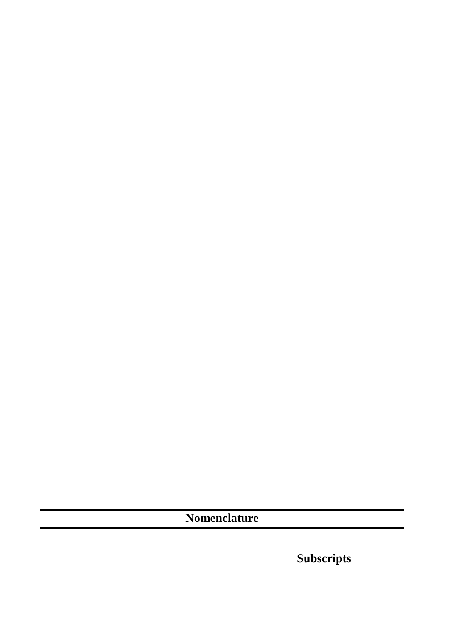**Nomenclature**

**Subscripts**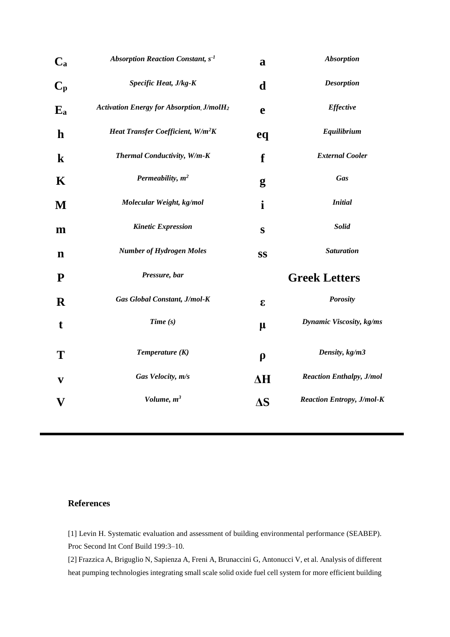| $\mathbf{C}_{\mathbf{a}}$ | Absorption Reaction Constant, $s-1$              | a                   | <b>Absorption</b>                |
|---------------------------|--------------------------------------------------|---------------------|----------------------------------|
| $C_p$                     | Specific Heat, J/kg-K                            | d                   | <b>Desorption</b>                |
| $E_{a}$                   | <b>Activation Energy for Absorption, J/molH2</b> | e                   | <b>Effective</b>                 |
| $\mathbf h$               | Heat Transfer Coefficient, W/m <sup>2</sup> K    | eq                  | Equilibrium                      |
| $\bf k$                   | Thermal Conductivity, W/m-K                      | f                   | <b>External Cooler</b>           |
| K                         | Permeability, $m^2$                              | g                   | Gas                              |
| M                         | Molecular Weight, kg/mol                         | i                   | <b>Initial</b>                   |
| m                         | <b>Kinetic Expression</b>                        | $\bf S$             | <b>Solid</b>                     |
| $\mathbf n$               | <b>Number of Hydrogen Moles</b>                  | SS                  | <b>Saturation</b>                |
| ${\bf P}$                 | Pressure, bar                                    |                     | <b>Greek Letters</b>             |
| $\mathbf R$               | Gas Global Constant, J/mol-K                     | E                   | <b>Porosity</b>                  |
| t                         | Time(s)                                          | $\mu$               | Dynamic Viscosity, kg/ms         |
| T                         | Temperature $(K)$                                | $\boldsymbol{\rho}$ | Density, kg/m3                   |
| $\mathbf{v}$              | Gas Velocity, m/s                                | $\Delta H$          | <b>Reaction Enthalpy, J/mol</b>  |
| V                         | Volume, $m^3$                                    | $\Delta S$          | <b>Reaction Entropy, J/mol-K</b> |
|                           |                                                  |                     |                                  |

## **References**

[1] Levin H. Systematic evaluation and assessment of building environmental performance (SEABEP). Proc Second Int Conf Build 199:3–10.

[2] Frazzica A, Briguglio N, Sapienza A, Freni A, Brunaccini G, Antonucci V, et al. Analysis of different heat pumping technologies integrating small scale solid oxide fuel cell system for more efficient building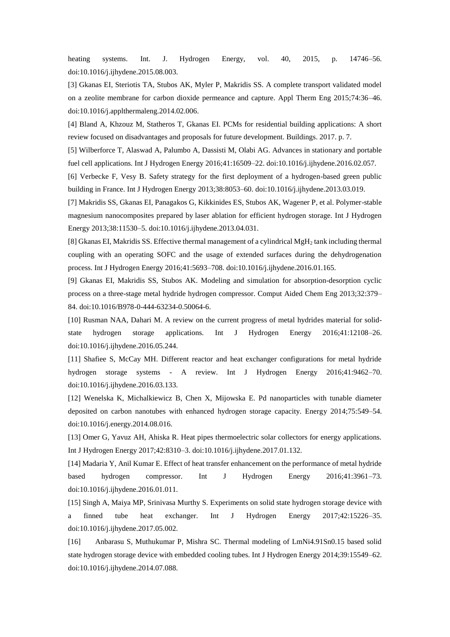heating systems. Int. J. Hydrogen Energy, vol. 40, 2015, p. 14746–56. doi:10.1016/j.ijhydene.2015.08.003.

[3] Gkanas EI, Steriotis TA, Stubos AK, Myler P, Makridis SS. A complete transport validated model on a zeolite membrane for carbon dioxide permeance and capture. Appl Therm Eng 2015;74:36–46. doi:10.1016/j.applthermaleng.2014.02.006.

[4] Bland A, Khzouz M, Statheros T, Gkanas EI. PCMs for residential building applications: A short review focused on disadvantages and proposals for future development. Buildings. 2017. p. 7.

[5] Wilberforce T, Alaswad A, Palumbo A, Dassisti M, Olabi AG. Advances in stationary and portable fuel cell applications. Int J Hydrogen Energy 2016;41:16509–22. doi:10.1016/j.ijhydene.2016.02.057.

[6] Verbecke F, Vesy B. Safety strategy for the first deployment of a hydrogen-based green public building in France. Int J Hydrogen Energy 2013;38:8053–60. doi:10.1016/j.ijhydene.2013.03.019.

[7] Makridis SS, Gkanas EI, Panagakos G, Kikkinides ES, Stubos AK, Wagener P, et al. Polymer-stable magnesium nanocomposites prepared by laser ablation for efficient hydrogen storage. Int J Hydrogen Energy 2013;38:11530–5. doi:10.1016/j.ijhydene.2013.04.031.

[8] Gkanas EI, Makridis SS. Effective thermal management of a cylindrical MgH<sup>2</sup> tank including thermal coupling with an operating SOFC and the usage of extended surfaces during the dehydrogenation process. Int J Hydrogen Energy 2016;41:5693–708. doi:10.1016/j.ijhydene.2016.01.165.

[9] Gkanas EI, Makridis SS, Stubos AK. Modeling and simulation for absorption-desorption cyclic process on a three-stage metal hydride hydrogen compressor. Comput Aided Chem Eng 2013;32:379– 84. doi:10.1016/B978-0-444-63234-0.50064-6.

[10] Rusman NAA, Dahari M. A review on the current progress of metal hydrides material for solidstate hydrogen storage applications. Int J Hydrogen Energy 2016;41:12108–26. doi:10.1016/j.ijhydene.2016.05.244.

[11] Shafiee S, McCay MH. Different reactor and heat exchanger configurations for metal hydride hydrogen storage systems - A review. Int J Hydrogen Energy 2016;41:9462–70. doi:10.1016/j.ijhydene.2016.03.133.

[12] Wenelska K, Michalkiewicz B, Chen X, Mijowska E. Pd nanoparticles with tunable diameter deposited on carbon nanotubes with enhanced hydrogen storage capacity. Energy 2014;75:549–54. doi:10.1016/j.energy.2014.08.016.

[13] Omer G, Yavuz AH, Ahiska R. Heat pipes thermoelectric solar collectors for energy applications. Int J Hydrogen Energy 2017;42:8310–3. doi:10.1016/j.ijhydene.2017.01.132.

[14] Madaria Y, Anil Kumar E. Effect of heat transfer enhancement on the performance of metal hydride based hydrogen compressor. Int J Hydrogen Energy 2016;41:3961–73. doi:10.1016/j.ijhydene.2016.01.011.

[15] Singh A, Maiya MP, Srinivasa Murthy S. Experiments on solid state hydrogen storage device with a finned tube heat exchanger. Int J Hydrogen Energy 2017;42:15226–35. doi:10.1016/j.ijhydene.2017.05.002.

[16] Anbarasu S, Muthukumar P, Mishra SC. Thermal modeling of LmNi4.91Sn0.15 based solid state hydrogen storage device with embedded cooling tubes. Int J Hydrogen Energy 2014;39:15549–62. doi:10.1016/j.ijhydene.2014.07.088.